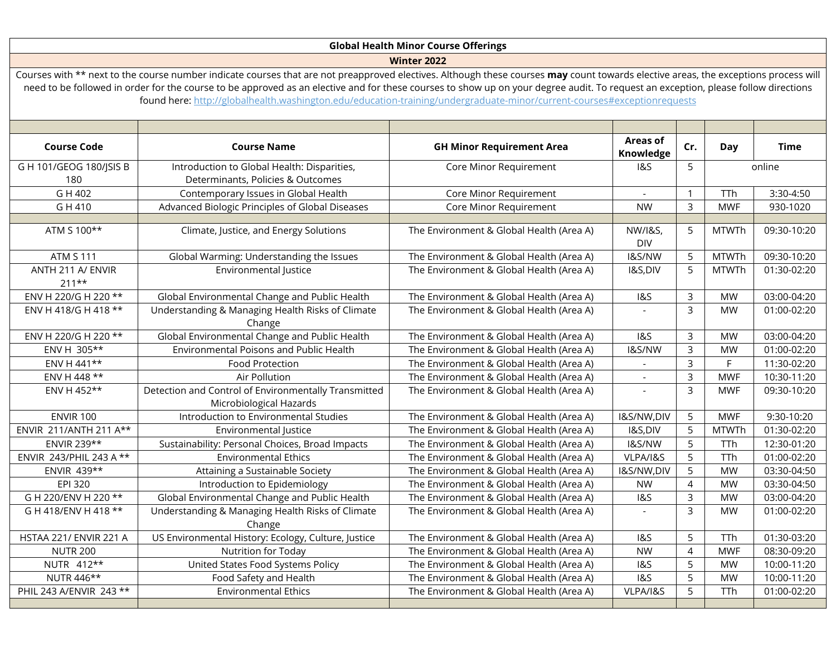## **Global Health Minor Course Offerings**

## **Winter 2022**

Courses with \*\* next to the course number indicate courses that are not preapproved electives. Although these courses **may** count towards elective areas, the exceptions process will need to be followed in order for the course to be approved as an elective and for these courses to show up on your degree audit. To request an exception, please follow directions found here[: http://globalhealth.washington.edu/education-training/undergraduate-minor/current-courses#exceptionrequests](http://globalhealth.washington.edu/education-training/undergraduate-minor/current-courses#exceptionrequests)

| <b>Course Code</b>           | <b>Course Name</b>                                                              | <b>GH Minor Requirement Area</b>         | <b>Areas of</b><br>Knowledge     | Cr.            | Day          | Time        |
|------------------------------|---------------------------------------------------------------------------------|------------------------------------------|----------------------------------|----------------|--------------|-------------|
| G H 101/GEOG 180/JSIS B      | Introduction to Global Health: Disparities,                                     | Core Minor Requirement                   | <b>1&amp;S</b>                   | 5              | online       |             |
| 180                          | Determinants, Policies & Outcomes                                               |                                          |                                  |                |              |             |
| G H 402                      | Contemporary Issues in Global Health                                            | Core Minor Requirement                   | $\mathcal{L}_{\mathcal{A}}$      | $\mathbf{1}$   | TTh          | 3:30-4:50   |
| G H 410                      | Advanced Biologic Principles of Global Diseases                                 | Core Minor Requirement                   | <b>NW</b>                        | 3              | <b>MWF</b>   | 930-1020    |
|                              |                                                                                 |                                          |                                  |                |              |             |
| ATM S 100**                  | Climate, Justice, and Energy Solutions                                          | The Environment & Global Health (Area A) | <b>NW/I&amp;S,</b><br><b>DIV</b> | 5              | <b>MTWTh</b> | 09:30-10:20 |
| <b>ATM S 111</b>             | Global Warming: Understanding the Issues                                        | The Environment & Global Health (Area A) | I&S/NW                           | 5              | <b>MTWTh</b> | 09:30-10:20 |
| ANTH 211 A/ ENVIR<br>$211**$ | Environmental Justice                                                           | The Environment & Global Health (Area A) | I&S,DIV                          | 5              | <b>MTWTh</b> | 01:30-02:20 |
| ENV H 220/G H 220 **         | Global Environmental Change and Public Health                                   | The Environment & Global Health (Area A) | <b>1&amp;S</b>                   | $\mathsf{3}$   | <b>MW</b>    | 03:00-04:20 |
| ENV H 418/G H 418 **         | Understanding & Managing Health Risks of Climate<br>Change                      | The Environment & Global Health (Area A) |                                  | $\mathbf{3}$   | <b>MW</b>    | 01:00-02:20 |
| ENV H 220/G H 220 **         | Global Environmental Change and Public Health                                   | The Environment & Global Health (Area A) | <b>1&amp;S</b>                   | 3              | <b>MW</b>    | 03:00-04:20 |
| ENV H 305**                  | <b>Environmental Poisons and Public Health</b>                                  | The Environment & Global Health (Area A) | I&S/NW                           | 3              | <b>MW</b>    | 01:00-02:20 |
| ENV H 441**                  | <b>Food Protection</b>                                                          | The Environment & Global Health (Area A) |                                  | 3              | F.           | 11:30-02:20 |
| ENV H 448 **                 | Air Pollution                                                                   | The Environment & Global Health (Area A) | $\equiv$                         | 3              | <b>MWF</b>   | 10:30-11:20 |
| ENV H 452**                  | Detection and Control of Environmentally Transmitted<br>Microbiological Hazards | The Environment & Global Health (Area A) | $\overline{a}$                   | 3              | <b>MWF</b>   | 09:30-10:20 |
| <b>ENVIR 100</b>             | Introduction to Environmental Studies                                           | The Environment & Global Health (Area A) | I&S/NW,DIV                       | 5              | <b>MWF</b>   | 9:30-10:20  |
| ENVIR 211/ANTH 211 A**       | Environmental Justice                                                           | The Environment & Global Health (Area A) | I&S,DIV                          | 5              | <b>MTWTh</b> | 01:30-02:20 |
| ENVIR 239**                  | Sustainability: Personal Choices, Broad Impacts                                 | The Environment & Global Health (Area A) | I&S/NW                           | 5              | TTh          | 12:30-01:20 |
| ENVIR 243/PHIL 243 A **      | <b>Environmental Ethics</b>                                                     | The Environment & Global Health (Area A) | VLPA/I&S                         | 5              | TTh          | 01:00-02:20 |
| ENVIR 439**                  | Attaining a Sustainable Society                                                 | The Environment & Global Health (Area A) | I&S/NW,DIV                       | 5              | <b>MW</b>    | 03:30-04:50 |
| <b>EPI 320</b>               | Introduction to Epidemiology                                                    | The Environment & Global Health (Area A) | <b>NW</b>                        | $\overline{4}$ | <b>MW</b>    | 03:30-04:50 |
| G H 220/ENV H 220 **         | Global Environmental Change and Public Health                                   | The Environment & Global Health (Area A) | <b>1&amp;S</b>                   | 3              | <b>MW</b>    | 03:00-04:20 |
| G H 418/ENV H 418 **         | Understanding & Managing Health Risks of Climate<br>Change                      | The Environment & Global Health (Area A) |                                  | $\overline{3}$ | <b>MW</b>    | 01:00-02:20 |
| HSTAA 221/ ENVIR 221 A       | US Environmental History: Ecology, Culture, Justice                             | The Environment & Global Health (Area A) | <b>1&amp;S</b>                   | 5              | <b>TTh</b>   | 01:30-03:20 |
| <b>NUTR 200</b>              | Nutrition for Today                                                             | The Environment & Global Health (Area A) | <b>NW</b>                        | $\overline{4}$ | <b>MWF</b>   | 08:30-09:20 |
| NUTR 412**                   | United States Food Systems Policy                                               | The Environment & Global Health (Area A) | <b>1&amp;S</b>                   | 5              | <b>MW</b>    | 10:00-11:20 |
| NUTR 446**                   | Food Safety and Health                                                          | The Environment & Global Health (Area A) | 185                              | 5              | <b>MW</b>    | 10:00-11:20 |
| PHIL 243 A/ENVIR 243 **      | <b>Environmental Ethics</b>                                                     | The Environment & Global Health (Area A) | VLPA/I&S                         | 5              | <b>TTh</b>   | 01:00-02:20 |
|                              |                                                                                 |                                          |                                  |                |              |             |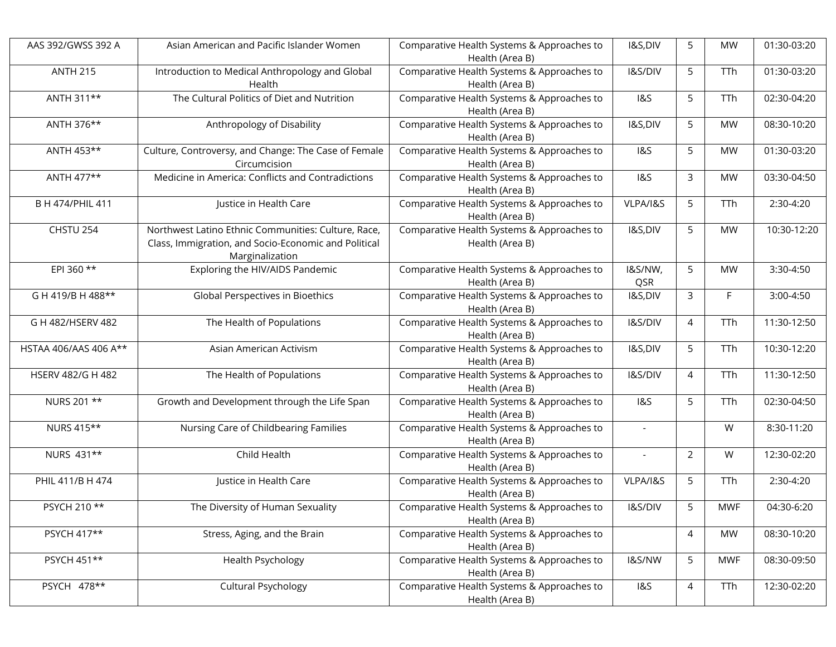| AAS 392/GWSS 392 A    | Asian American and Pacific Islander Women                                                                                      | Comparative Health Systems & Approaches to<br>Health (Area B) | I&S,DIV                  | 5              | <b>MW</b>  | 01:30-03:20 |
|-----------------------|--------------------------------------------------------------------------------------------------------------------------------|---------------------------------------------------------------|--------------------------|----------------|------------|-------------|
| <b>ANTH 215</b>       | Introduction to Medical Anthropology and Global<br>Health                                                                      | Comparative Health Systems & Approaches to<br>Health (Area B) | I&S/DIV                  | 5              | <b>TTh</b> | 01:30-03:20 |
| ANTH 311**            | The Cultural Politics of Diet and Nutrition                                                                                    | Comparative Health Systems & Approaches to<br>Health (Area B) | <b>1&amp;S</b>           | 5              | TTh        | 02:30-04:20 |
| ANTH 376**            | Anthropology of Disability                                                                                                     | Comparative Health Systems & Approaches to<br>Health (Area B) | I&S,DIV                  | 5              | <b>MW</b>  | 08:30-10:20 |
| ANTH 453**            | Culture, Controversy, and Change: The Case of Female<br>Circumcision                                                           | Comparative Health Systems & Approaches to<br>Health (Area B) | <b>1&amp;S</b>           | 5              | <b>MW</b>  | 01:30-03:20 |
| ANTH 477**            | Medicine in America: Conflicts and Contradictions                                                                              | Comparative Health Systems & Approaches to<br>Health (Area B) | <b>1&amp;S</b>           | 3              | MW         | 03:30-04:50 |
| B H 474/PHIL 411      | Justice in Health Care                                                                                                         | Comparative Health Systems & Approaches to<br>Health (Area B) | VLPA/I&S                 | 5              | TTh        | 2:30-4:20   |
| CHSTU 254             | Northwest Latino Ethnic Communities: Culture, Race,<br>Class, Immigration, and Socio-Economic and Political<br>Marginalization | Comparative Health Systems & Approaches to<br>Health (Area B) | I&S,DIV                  | 5              | <b>MW</b>  | 10:30-12:20 |
| EPI 360 **            | Exploring the HIV/AIDS Pandemic                                                                                                | Comparative Health Systems & Approaches to<br>Health (Area B) | I&S/NW,<br>QSR           | 5              | <b>MW</b>  | 3:30-4:50   |
| G H 419/B H 488**     | Global Perspectives in Bioethics                                                                                               | Comparative Health Systems & Approaches to<br>Health (Area B) | I&S,DIV                  | 3              | F.         | 3:00-4:50   |
| G H 482/HSERV 482     | The Health of Populations                                                                                                      | Comparative Health Systems & Approaches to<br>Health (Area B) | I&S/DIV                  | 4              | <b>TTh</b> | 11:30-12:50 |
| HSTAA 406/AAS 406 A** | Asian American Activism                                                                                                        | Comparative Health Systems & Approaches to<br>Health (Area B) | I&S,DIV                  | 5              | <b>TTh</b> | 10:30-12:20 |
| HSERV 482/G H 482     | The Health of Populations                                                                                                      | Comparative Health Systems & Approaches to<br>Health (Area B) | I&S/DIV                  | $\overline{4}$ | <b>TTh</b> | 11:30-12:50 |
| NURS 201 **           | Growth and Development through the Life Span                                                                                   | Comparative Health Systems & Approaches to<br>Health (Area B) | <b>1&amp;S</b>           | 5              | <b>TTh</b> | 02:30-04:50 |
| NURS 415**            | Nursing Care of Childbearing Families                                                                                          | Comparative Health Systems & Approaches to<br>Health (Area B) |                          |                | W          | 8:30-11:20  |
| NURS 431**            | Child Health                                                                                                                   | Comparative Health Systems & Approaches to<br>Health (Area B) | $\overline{\phantom{a}}$ | $\overline{2}$ | W          | 12:30-02:20 |
| PHIL 411/B H 474      | Justice in Health Care                                                                                                         | Comparative Health Systems & Approaches to<br>Health (Area B) | VLPA/I&S                 | 5              | <b>TTh</b> | 2:30-4:20   |
| PSYCH 210 **          | The Diversity of Human Sexuality                                                                                               | Comparative Health Systems & Approaches to<br>Health (Area B) | I&S/DIV                  | 5              | <b>MWF</b> | 04:30-6:20  |
| PSYCH 417**           | Stress, Aging, and the Brain                                                                                                   | Comparative Health Systems & Approaches to<br>Health (Area B) |                          | $\overline{4}$ | <b>MW</b>  | 08:30-10:20 |
| PSYCH 451**           | Health Psychology                                                                                                              | Comparative Health Systems & Approaches to<br>Health (Area B) | I&S/NW                   | 5              | <b>MWF</b> | 08:30-09:50 |
| PSYCH 478**           | <b>Cultural Psychology</b>                                                                                                     | Comparative Health Systems & Approaches to<br>Health (Area B) | <b>1&amp;S</b>           | $\overline{4}$ | TTh        | 12:30-02:20 |